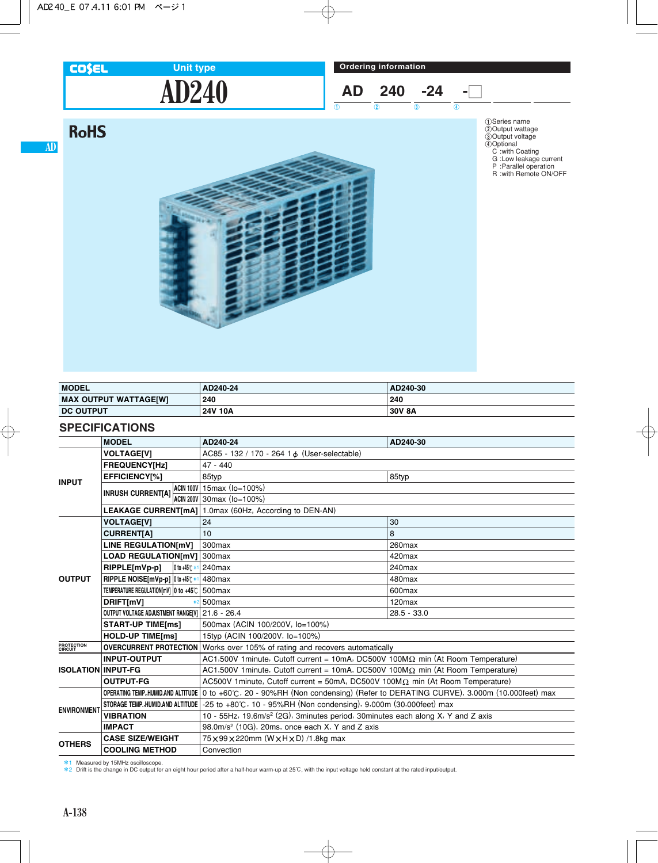### **COSEL**

**RoHS** 

**AD**

# **AD240 Unit type**

**Ordering information**

$$
\begin{array}{c|c}\nAD & 240 & -24 \\
\hline\n\end{array}\n\begin{array}{c}\n\hline\n-24 & -\n\end{array}
$$

 $\frac{1}{2}$  (1) (2) (3) (4)

1Series name 2Output wattage 3Output voltage 4Optional C :with Coating G :Low leakage current P :Parallel operation R :with Remote ON/OFF



| <b>MODEL</b>                 | AD240-24 | AD240-30 |
|------------------------------|----------|----------|
| <b>MAX OUTPUT WATTAGE[W]</b> | 240      | 240      |
| <b>DC OUTPUT</b>             | 24V 10A  | 30V 8A   |

### **SPECIFICATIONS**

|                           | <b>MODEL</b>                                                                                               |                                | AD240-24                                                                                           | AD240-30           |
|---------------------------|------------------------------------------------------------------------------------------------------------|--------------------------------|----------------------------------------------------------------------------------------------------|--------------------|
| <b>INPUT</b>              | <b>VOLTAGE[V]</b>                                                                                          |                                | AC85 - 132 / 170 - 264 1 & (User-selectable)                                                       |                    |
|                           | <b>FREQUENCY[Hz]</b>                                                                                       |                                | $47 - 440$                                                                                         |                    |
|                           | EFFICIENCY[%]                                                                                              |                                | 85typ                                                                                              | 85typ              |
|                           |                                                                                                            |                                | ACIN 100V 15 max (lo=100%)                                                                         |                    |
|                           | INRUSH CURRENT[A] $\frac{1.30 \text{ m}}{4 \text{ C} \cdot \text{N} \cdot 200 \text{ V}}$ 30 max (lo=100%) |                                |                                                                                                    |                    |
|                           |                                                                                                            |                                | <b>LEAKAGE CURRENT[mA]</b> 1.0max (60Hz, According to DEN-AN)                                      |                    |
|                           | <b>VOLTAGEIVI</b>                                                                                          |                                | 24                                                                                                 | 30                 |
|                           | <b>CURRENTIA1</b>                                                                                          |                                | 10                                                                                                 | 8                  |
|                           | LINE REGULATION[mV]                                                                                        |                                | 300max                                                                                             | 260max             |
|                           | LOAD REGULATION[mV] 300max                                                                                 |                                |                                                                                                    | 420max             |
|                           | RIPPLE[mVp-p]                                                                                              | $ 0 \text{ to } +45 \text{ C}$ | 240max                                                                                             | 240max             |
| <b>OUTPUT</b>             | RIPPLE NOISE[mVp-p] 0 to +45°C*                                                                            |                                | 480max                                                                                             | 480max             |
|                           | TEMPERATURE REGULATION[mV] 0 to +45°C                                                                      |                                | 500max                                                                                             | 600max             |
|                           | DRIFT[mV]                                                                                                  |                                | 500max                                                                                             | 120 <sub>max</sub> |
|                           | OUTPUT VOLTAGE ADJUSTMENT RANGEIVI   21.6 - 26.4                                                           |                                |                                                                                                    | $28.5 - 33.0$      |
|                           | <b>START-UP TIME[ms]</b>                                                                                   |                                | 500max (ACIN 100/200V, lo=100%)                                                                    |                    |
| <b>HOLD-UP TIME[ms]</b>   |                                                                                                            |                                | 15typ (ACIN 100/200V, lo=100%)                                                                     |                    |
| PROTECTION<br>CIRCUIT     | <b>OVERCURRENT PROTECTION</b> Works over 105% of rating and recovers automatically                         |                                |                                                                                                    |                    |
|                           | <b>INPUT-OUTPUT</b>                                                                                        |                                | AC1,500V 1 minute, Cutoff current = 10mA, DC500V 100M $\Omega$ min (At Room Temperature)           |                    |
| <b>ISOLATION INPUT-FG</b> |                                                                                                            |                                | AC1,500V 1minute, Cutoff current = 10mA, DC500V 100M $\Omega$ min (At Room Temperature)            |                    |
|                           | <b>OUTPUT-FG</b>                                                                                           |                                | AC500V 1 minute, Cutoff current = 50mA, DC500V 100M $\Omega$ min (At Room Temperature)             |                    |
|                           | <b>OPERATING TEMP, HUMID.AND ALTITUDE</b>                                                                  |                                | $\vert$ 0 to +60°C, 20 - 90%RH (Non condensing) (Refer to DERATING CURVE), 3,000m (10,000feet) max |                    |
| <b>ENVIRONMENT</b>        | STORAGE TEMP., HUMID.AND ALTITUDE                                                                          |                                | -25 to +80℃, 10 - 95%RH (Non condensing), 9,000m (30,000feet) max                                  |                    |
|                           | <b>VIBRATION</b>                                                                                           |                                | 10 - 55Hz, 19.6m/s <sup>2</sup> (2G), 3minutes period, 30minutes each along X, Y and Z axis        |                    |
|                           | <b>IMPACT</b>                                                                                              |                                | 98.0m/s <sup>2</sup> (10G), 20ms, once each X, Y and Z axis                                        |                    |
| <b>OTHERS</b>             | <b>CASE SIZE/WEIGHT</b>                                                                                    |                                | 75 × 99 × 220mm (W × H × D) /1.8kg max                                                             |                    |
|                           | <b>COOLING METHOD</b>                                                                                      |                                | Convection                                                                                         |                    |

\*1 Measured by 15MHz oscilloscope. \*2 Drift is the change in DC output for an eight hour period after a half-hour warm-up at 25C, with the input voltage held constant at the rated input/output.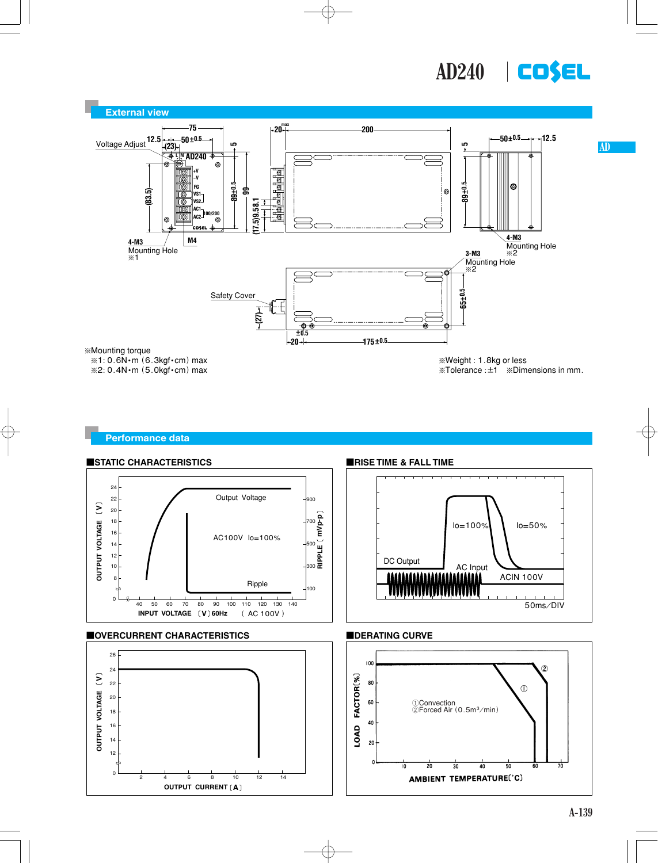



#### **Performance data**

**OUTPUT CURRENT** [A]

0 2 4 6 8 10 12 14





 $\mathfrak{g}$ 

 $\overline{10}$ 

 $\overline{20}$ 

 $\overline{30}$ 

AMBIENT TEMPERATURE(°C)

 $\overline{40}$ 

 $\overline{50}$ 

70

60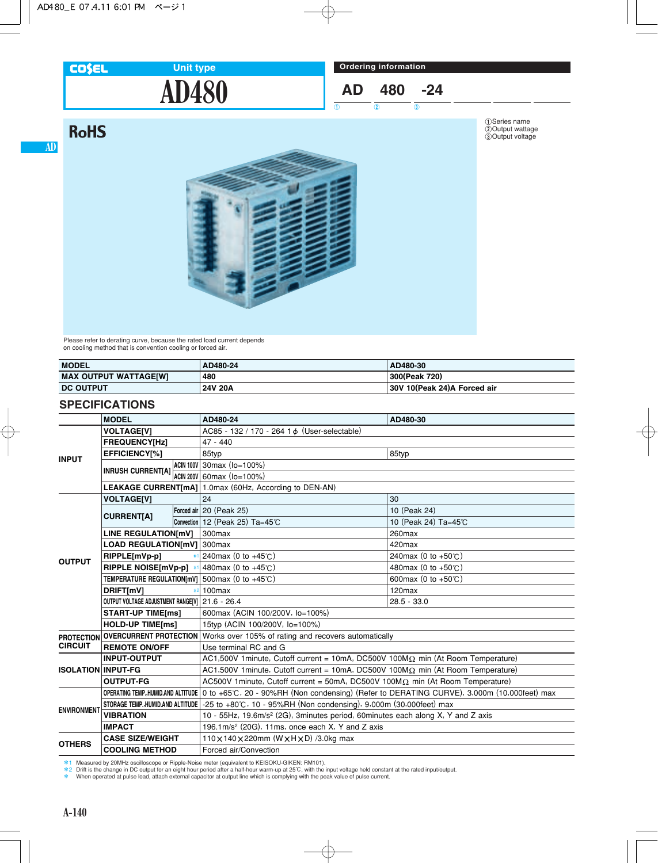#### **COSEL**

**AD**

## **AD480 Unit type**



 $\overline{0}$   $\overline{0}$   $\overline{0}$   $\overline{0}$ 

1Series name 2Output wattage 3Output voltage



Please refer to derating curve, because the rated load current depends on cooling method that is convention cooling or forced air.

| <b>MODEL</b>                 | AD480-24 | AD480-30                    |
|------------------------------|----------|-----------------------------|
| <b>MAX OUTPUT WATTAGE[W]</b> | 480      | 300(Peak 720)               |
| <b>DC OUTPUT</b>             | 24V 20A  | 30V 10(Peak 24)A Forced air |

### **SPECIFICATIONS**

|                                                             | <b>MODEL</b>                                      |  | AD480-24                                                                                                                      | AD480-30                      |
|-------------------------------------------------------------|---------------------------------------------------|--|-------------------------------------------------------------------------------------------------------------------------------|-------------------------------|
|                                                             | <b>VOLTAGEIVI</b>                                 |  | AC85 - 132 / 170 - 264 1 & (User-selectable)                                                                                  |                               |
| <b>INPUT</b>                                                | <b>FREQUENCY[Hz]</b>                              |  | $47 - 440$                                                                                                                    |                               |
|                                                             | EFFICIENCY[%]                                     |  | 85typ                                                                                                                         | 85typ                         |
|                                                             | <b>INRUSH CURRENT[A]</b>                          |  | ACIN 100V 30 max $(10=100\%)$                                                                                                 |                               |
|                                                             |                                                   |  | ACIN 200V 60max (Io=100%)                                                                                                     |                               |
|                                                             |                                                   |  | <b>LEAKAGE CURRENT[mA]</b> 1.0max (60Hz, According to DEN-AN)                                                                 |                               |
|                                                             | <b>VOLTAGE[V]</b>                                 |  | 24                                                                                                                            | 30                            |
|                                                             |                                                   |  | Forced air 20 (Peak 25)                                                                                                       | 10 (Peak 24)                  |
|                                                             | <b>CURRENT[A]</b>                                 |  | Convection 12 (Peak 25) Ta=45℃                                                                                                | 10 (Peak 24) Ta=45℃           |
|                                                             | <b>LINE REGULATION[mV]</b>                        |  | 300max                                                                                                                        | 260max                        |
|                                                             | LOAD REGULATION[mV] 300max                        |  |                                                                                                                               | 420max                        |
|                                                             | RIPPLE[mVp-p]                                     |  | 240max (0 to $+45^{\circ}$ C)                                                                                                 | 240max (0 to +50°C)           |
| <b>OUTPUT</b>                                               | RIPPLE NOISE[mVp-p] *                             |  | 480 max (0 to $+45^{\circ}$ C)                                                                                                | 480max (0 to +50℃)            |
|                                                             | TEMPERATURE REGULATION[mV] $500$ max (0 to +45°C) |  |                                                                                                                               | 600max (0 to $+50^{\circ}$ C) |
|                                                             | DRIFT[mV]                                         |  | 100max                                                                                                                        | $120$ max                     |
|                                                             | OUTPUT VOLTAGE ADJUSTMENT RANGE[V] 21.6 - 26.4    |  |                                                                                                                               | $28.5 - 33.0$                 |
|                                                             | <b>START-UP TIME[ms]</b>                          |  | 600max (ACIN 100/200V, lo=100%)                                                                                               |                               |
|                                                             | <b>HOLD-UP TIME[ms]</b>                           |  | 15typ (ACIN 100/200V, lo=100%)                                                                                                |                               |
| <b>PROTECTION</b><br><b>CIRCUIT</b><br><b>REMOTE ON/OFF</b> |                                                   |  | <b>OVERCURRENT PROTECTION</b> Works over 105% of rating and recovers automatically                                            |                               |
|                                                             |                                                   |  | Use terminal RC and G                                                                                                         |                               |
|                                                             | <b>INPUT-OUTPUT</b>                               |  | AC1,500V 1 minute, Cutoff current = 10mA, DC500V 100M $\Omega$ min (At Room Temperature)                                      |                               |
| <b>ISOLATION INPUT-FG</b>                                   |                                                   |  | AC1,500V 1minute, Cutoff current = 10mA, DC500V 100M $\Omega$ min (At Room Temperature)                                       |                               |
|                                                             | <b>OUTPUT-FG</b>                                  |  | AC500V 1 minute, Cutoff current = 50mA, DC500V 100M $\Omega$ min (At Room Temperature)                                        |                               |
|                                                             |                                                   |  | OPERATING TEMP.,HUMID.AND ALTITUDE 0 to +65°C, 20 - 90%RH (Non condensing) (Refer to DERATING CURVE), 3,000m (10,000feet) max |                               |
|                                                             |                                                   |  | STORAGE TEMP.,HUMID.AND ALTITUDE   -25 to +80℃, 10 - 95%RH (Non condensing), 9,000m (30,000feet) max                          |                               |
| <b>ENVIRONMENT</b>                                          | <b>VIBRATION</b>                                  |  | 10 - 55Hz, 19.6m/s <sup>2</sup> (2G), 3minutes period, 60minutes each along X, Y and Z axis                                   |                               |
|                                                             | <b>IMPACT</b>                                     |  | 196.1m/s <sup>2</sup> (20G), 11ms, once each $X$ , Y and Z axis                                                               |                               |
|                                                             | <b>CASE SIZE/WEIGHT</b>                           |  | 110 x 140 x 220mm (W x H x D) /3.0kg max                                                                                      |                               |
| <b>OTHERS</b>                                               | <b>COOLING METHOD</b>                             |  | Forced air/Convection                                                                                                         |                               |

\*1 Measured by 20MHz oscilloscope or Ripple-Noise meter (equivalent to KEISOKU-GIKEN: RM101)<br>\*2 Drift is the change in DC output for an eight hour period after a half-hour warm-up at 25℃, with the input voltage held con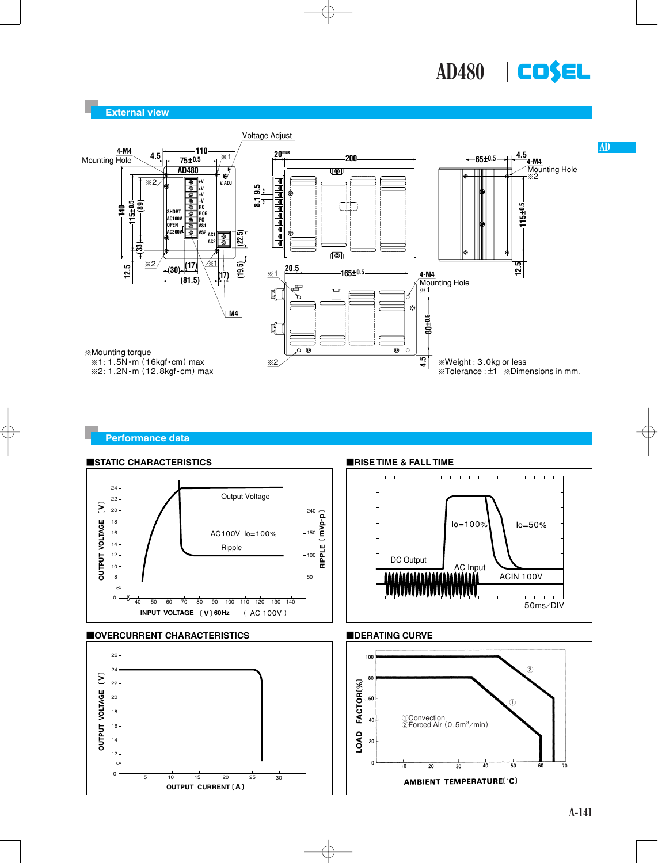

**AD**

#### **External view**



#### **Performance data**

**OUTPUT CURRENT A**



AMBIENT TEMPERATURE(°C)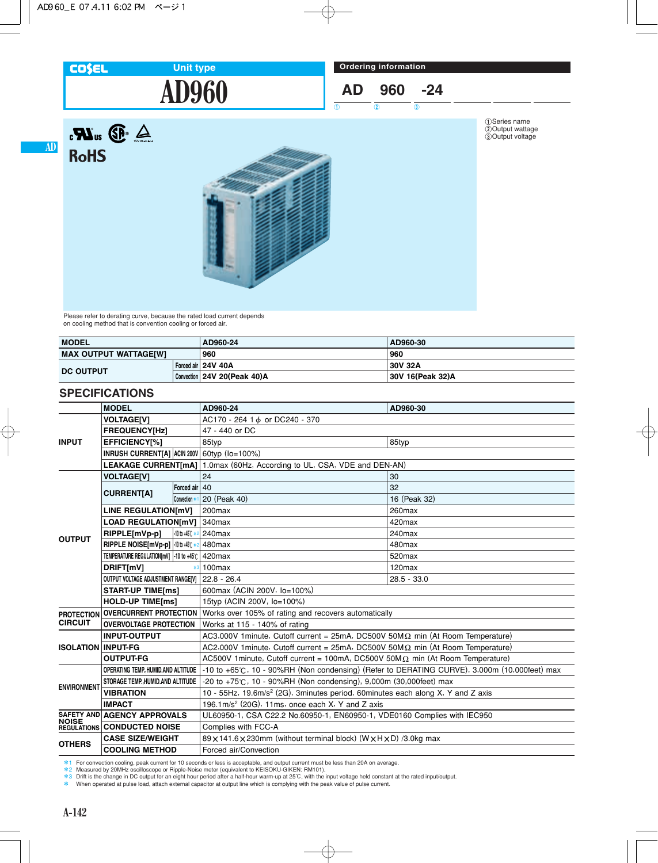#### **COSEL**

**RoHS** 

**AD**

 $R_{\text{us}}$   $\bigoplus$   $\bigoplus$ 

# **AD960 Unit type**

$$
AD \quad 960 \quad -24
$$

 $\frac{1}{2}$  (1) (2) (3)

1Series name 2Output wattage 3Output voltage



Please refer to derating curve, because the rated load current depends on cooling method that is convention cooling or forced air.

| <b>MODEL</b>                 |  | AD960-24                    | AD960-30         |
|------------------------------|--|-----------------------------|------------------|
| <b>MAX OUTPUT WATTAGE[W]</b> |  | 960                         | 960              |
| <b>DC OUTPUT</b>             |  | Forced air 24V 40A          | 30V 32A          |
|                              |  | Convection 24V 20(Peak 40)A | 30V 16(Peak 32)A |

## **SPECIFICATIONS**

|                           | <b>MODEL</b>                                                   |                          | AD960-24                                                                                          | AD960-30           |
|---------------------------|----------------------------------------------------------------|--------------------------|---------------------------------------------------------------------------------------------------|--------------------|
|                           | <b>VOLTAGE[V]</b>                                              |                          | AC170 - 264 1 $\phi$ or DC240 - 370                                                               |                    |
| <b>INPUT</b>              | <b>FREQUENCY[Hz]</b>                                           |                          | 47 - 440 or DC                                                                                    |                    |
|                           | <b>EFFICIENCY[%]</b>                                           |                          | 85typ                                                                                             | 85typ              |
|                           | INRUSH CURRENT[A] ACIN 200V 60typ (Io=100%)                    |                          |                                                                                                   |                    |
|                           | <b>LEAKAGE CURRENT[mA]</b>                                     |                          | 1.0max (60Hz, According to UL, CSA, VDE and DEN-AN)                                               |                    |
|                           | <b>VOLTAGE[V]</b>                                              |                          | 24                                                                                                | 30                 |
|                           | <b>CURRENT[A]</b>                                              | Forced air 40            |                                                                                                   | 32                 |
|                           |                                                                | Convection *             | 20 (Peak 40)                                                                                      | 16 (Peak 32)       |
|                           | LINE REGULATION[mV]                                            |                          | 200max                                                                                            | 260max             |
|                           | <b>LOAD REGULATION[mV]</b>                                     |                          | 340max                                                                                            | 420max             |
| <b>OUTPUT</b>             | RIPPLE[mVp-p]                                                  | $-10$ to $+45$ $\degree$ | 240 <sub>max</sub>                                                                                | 240max             |
|                           | RIPPLE NOISE[mVp-p] -10 to +45°C *2                            |                          | 480max                                                                                            | 480max             |
|                           | TEMPERATURE REGULATION[mV] -10 to +45°C                        |                          | 420max                                                                                            | 520 <sub>max</sub> |
|                           | DRIFT[mV]                                                      |                          | 100max                                                                                            | $120$ max          |
|                           | OUTPUT VOLTAGE ADJUSTMENT RANGE[V]                             |                          | $22.8 - 26.4$                                                                                     | $28.5 - 33.0$      |
|                           | <b>START-UP TIME[ms]</b>                                       |                          | 600max (ACIN 200V, Io=100%)                                                                       |                    |
|                           | <b>HOLD-UP TIME[ms]</b>                                        |                          | 15typ (ACIN 200V, lo=100%)                                                                        |                    |
| <b>PROTECTION</b>         | <b>OVERCURRENT PROTECTION</b><br><b>OVERVOLTAGE PROTECTION</b> |                          | Works over 105% of rating and recovers automatically                                              |                    |
| <b>CIRCUIT</b>            |                                                                |                          | Works at 115 - 140% of rating                                                                     |                    |
|                           | <b>INPUT-OUTPUT</b>                                            |                          | AC3,000V 1 minute, Cutoff current = $25mA$ , DC500V 50M $\Omega$ min (At Room Temperature)        |                    |
| <b>ISOLATION INPUT-FG</b> |                                                                |                          | AC2,000V 1 minute, Cutoff current = 25mA, DC500V 50M $\Omega$ min (At Room Temperature)           |                    |
|                           | <b>OUTPUT-FG</b>                                               |                          | AC500V 1 minute, Cutoff current = 100mA, DC500V 50M $\Omega$ min (At Room Temperature)            |                    |
| <b>ENVIRONMENT</b>        | OPERATING TEMP. HUMID.AND ALTITUDE                             |                          | $-10$ to $+65$ °C, 10 - 90%RH (Non condensing) (Refer to DERATING CURVE), 3,000m (10,000feet) max |                    |
|                           | STORAGE TEMP., HUMID. AND ALTITUDE                             |                          | $-20$ to $+75^{\circ}$ C, 10 - 90%RH (Non condensing), 9,000m (30,000feet) max                    |                    |
|                           | <b>VIBRATION</b>                                               |                          | 10 - 55Hz, 19.6m/s <sup>2</sup> (2G), 3minutes period, 60minutes each along X, Y and Z axis       |                    |
|                           | <b>IMPACT</b>                                                  |                          | 196.1 $m/s2$ (20G), 11 $ms$ , once each X, Y and Z axis                                           |                    |
| <b>NOISE</b>              | SAFETY AND AGENCY APPROVALS                                    |                          | UL60950-1, CSA C22.2 No.60950-1, EN60950-1, VDE0160 Complies with IEC950                          |                    |
|                           | <b>REGULATIONS CONDUCTED NOISE</b>                             |                          | Complies with FCC-A                                                                               |                    |
| <b>OTHERS</b>             | <b>CASE SIZE/WEIGHT</b>                                        |                          | 89 x 141.6 x 230mm (without terminal block) (W x H x D) /3.0kg max                                |                    |
|                           | <b>COOLING METHOD</b>                                          |                          | Forced air/Convection                                                                             |                    |

\*1 For convection cooling, peak current for 10 seconds or less is acceptable, and output current must be less than 20A on average.<br>\*2 Measured by 20MHz oscilloscope or Ripple-Noise meter (equivalent to KEISOKU-GIKEN: RM

\* When operated at pulse load, attach external capacitor at output line which is complying with the peak value of pulse current.